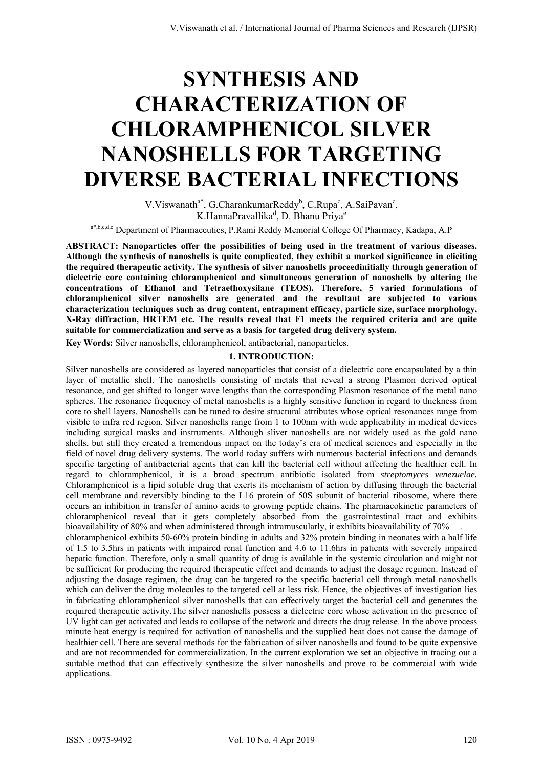# **SYNTHESIS AND CHARACTERIZATION OF CHLORAMPHENICOL SILVER NANOSHELLS FOR TARGETING DIVERSE BACTERIAL INFECTIONS**

 $V.Viswanath<sup>a*</sup>, G.CharankumarReddy<sup>b</sup>, C.Rupa<sup>c</sup>, A.SaiPavan<sup>c</sup>,$ K.HannaPravallika<sup>d</sup>, D. Bhanu Priya<sup>e</sup>

a\*,b,c,d,e Department of Pharmaceutics, P.Rami Reddy Memorial College Of Pharmacy, Kadapa, A.P

**ABSTRACT: Nanoparticles offer the possibilities of being used in the treatment of various diseases. Although the synthesis of nanoshells is quite complicated, they exhibit a marked significance in eliciting the required therapeutic activity. The synthesis of silver nanoshells proceedinitially through generation of dielectric core containing chloramphenicol and simultaneous generation of nanoshells by altering the concentrations of Ethanol and Tetraethoxysilane (TEOS). Therefore, 5 varied formulations of chloramphenicol silver nanoshells are generated and the resultant are subjected to various characterization techniques such as drug content, entrapment efficacy, particle size, surface morphology, X-Ray diffraction, HRTEM etc. The results reveal that F1 meets the required criteria and are quite suitable for commercialization and serve as a basis for targeted drug delivery system.** 

**Key Words:** Silver nanoshells, chloramphenicol, antibacterial, nanoparticles.

# **1. INTRODUCTION:**

Silver nanoshells are considered as layered nanoparticles that consist of a dielectric core encapsulated by a thin layer of metallic shell. The nanoshells consisting of metals that reveal a strong Plasmon derived optical resonance, and get shifted to longer wave lengths than the corresponding Plasmon resonance of the metal nano spheres. The resonance frequency of metal nanoshells is a highly sensitive function in regard to thickness from core to shell layers. Nanoshells can be tuned to desire structural attributes whose optical resonances range from visible to infra red region. Silver nanoshells range from 1 to 100nm with wide applicability in medical devices including surgical masks and instruments. Although sliver nanoshells are not widely used as the gold nano shells, but still they created a tremendous impact on the today's era of medical sciences and especially in the field of novel drug delivery systems. The world today suffers with numerous bacterial infections and demands specific targeting of antibacterial agents that can kill the bacterial cell without affecting the healthier cell. In regard to chloramphenicol, it is a broad spectrum antibiotic isolated from *streptomyces venezuelae.*  Chloramphenicol is a lipid soluble drug that exerts its mechanism of action by diffusing through the bacterial cell membrane and reversibly binding to the L16 protein of 50S subunit of bacterial ribosome, where there occurs an inhibition in transfer of amino acids to growing peptide chains. The pharmacokinetic parameters of chloramphenicol reveal that it gets completely absorbed from the gastrointestinal tract and exhibits bioavailability of 80% and when administered through intramuscularly, it exhibits bioavailability of 70% chloramphenicol exhibits 50-60% protein binding in adults and 32% protein binding in neonates with a half life of 1.5 to 3.5hrs in patients with impaired renal function and 4.6 to 11.6hrs in patients with severely impaired hepatic function. Therefore, only a small quantity of drug is available in the systemic circulation and might not be sufficient for producing the required therapeutic effect and demands to adjust the dosage regimen. Instead of adjusting the dosage regimen, the drug can be targeted to the specific bacterial cell through metal nanoshells which can deliver the drug molecules to the targeted cell at less risk. Hence, the objectives of investigation lies in fabricating chloramphenicol silver nanoshells that can effectively target the bacterial cell and generates the required therapeutic activity.The silver nanoshells possess a dielectric core whose activation in the presence of UV light can get activated and leads to collapse of the network and directs the drug release. In the above process minute heat energy is required for activation of nanoshells and the supplied heat does not cause the damage of healthier cell. There are several methods for the fabrication of silver nanoshells and found to be quite expensive and are not recommended for commercialization. In the current exploration we set an objective in tracing out a suitable method that can effectively synthesize the silver nanoshells and prove to be commercial with wide applications.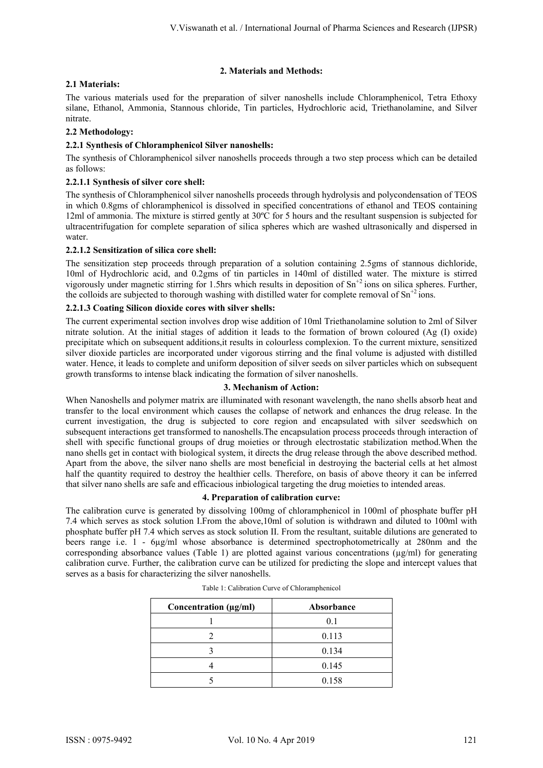# **2. Materials and Methods:**

# **2.1 Materials:**

The various materials used for the preparation of silver nanoshells include Chloramphenicol, Tetra Ethoxy silane, Ethanol, Ammonia, Stannous chloride, Tin particles, Hydrochloric acid, Triethanolamine, and Silver nitrate.

# **2.2 Methodology:**

# **2.2.1 Synthesis of Chloramphenicol Silver nanoshells:**

The synthesis of Chloramphenicol silver nanoshells proceeds through a two step process which can be detailed as follows:

# **2.2.1.1 Synthesis of silver core shell:**

The synthesis of Chloramphenicol silver nanoshells proceeds through hydrolysis and polycondensation of TEOS in which 0.8gms of chloramphenicol is dissolved in specified concentrations of ethanol and TEOS containing 12ml of ammonia. The mixture is stirred gently at 30ºC for 5 hours and the resultant suspension is subjected for ultracentrifugation for complete separation of silica spheres which are washed ultrasonically and dispersed in water.

# **2.2.1.2 Sensitization of silica core shell:**

The sensitization step proceeds through preparation of a solution containing 2.5gms of stannous dichloride, 10ml of Hydrochloric acid, and 0.2gms of tin particles in 140ml of distilled water. The mixture is stirred vigorously under magnetic stirring for 1.5hrs which results in deposition of  $Sn^{+2}$  ions on silica spheres. Further, the colloids are subjected to thorough washing with distilled water for complete removal of  $Sn^{+2}$  ions.

# **2.2.1.3 Coating Silicon dioxide cores with silver shells:**

The current experimental section involves drop wise addition of 10ml Triethanolamine solution to 2ml of Silver nitrate solution. At the initial stages of addition it leads to the formation of brown coloured (Ag (I) oxide) precipitate which on subsequent additions,it results in colourless complexion. To the current mixture, sensitized silver dioxide particles are incorporated under vigorous stirring and the final volume is adjusted with distilled water. Hence, it leads to complete and uniform deposition of silver seeds on silver particles which on subsequent growth transforms to intense black indicating the formation of silver nanoshells.

## **3. Mechanism of Action:**

When Nanoshells and polymer matrix are illuminated with resonant wavelength, the nano shells absorb heat and transfer to the local environment which causes the collapse of network and enhances the drug release. In the current investigation, the drug is subjected to core region and encapsulated with silver seedswhich on subsequent interactions get transformed to nanoshells.The encapsulation process proceeds through interaction of shell with specific functional groups of drug moieties or through electrostatic stabilization method.When the nano shells get in contact with biological system, it directs the drug release through the above described method. Apart from the above, the silver nano shells are most beneficial in destroying the bacterial cells at het almost half the quantity required to destroy the healthier cells. Therefore, on basis of above theory it can be inferred that silver nano shells are safe and efficacious inbiological targeting the drug moieties to intended areas.

## **4. Preparation of calibration curve:**

The calibration curve is generated by dissolving 100mg of chloramphenicol in 100ml of phosphate buffer pH 7.4 which serves as stock solution I.From the above,10ml of solution is withdrawn and diluted to 100ml with phosphate buffer pH 7.4 which serves as stock solution II. From the resultant, suitable dilutions are generated to beers range i.e. 1 - 6µg/ml whose absorbance is determined spectrophotometrically at 280nm and the corresponding absorbance values (Table 1) are plotted against various concentrations ( $\mu$ g/ml) for generating calibration curve. Further, the calibration curve can be utilized for predicting the slope and intercept values that serves as a basis for characterizing the silver nanoshells.

| Concentration (µg/ml) | Absorbance |
|-----------------------|------------|
|                       | 0.1        |
|                       | 0.113      |
|                       | 0.134      |
|                       | 0.145      |
|                       | 0.158      |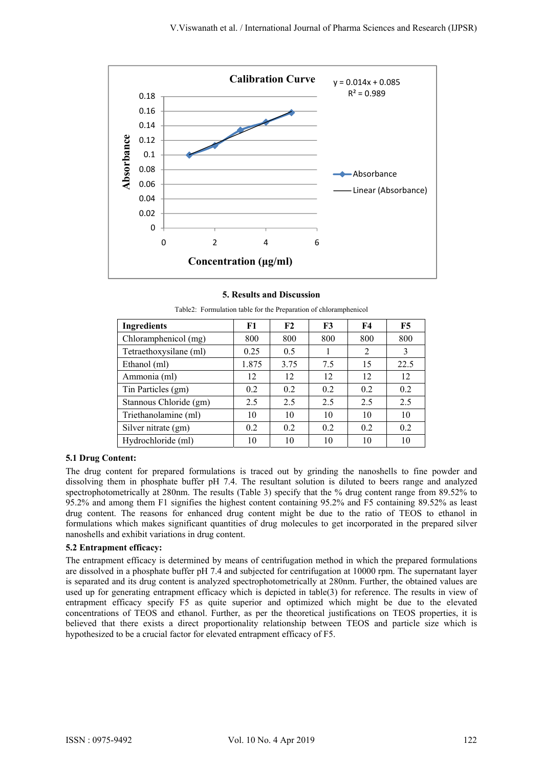

# **5. Results and Discussion**

| <b>Ingredients</b>     | F1    | F2   | F3  | <b>F4</b> | F5   |
|------------------------|-------|------|-----|-----------|------|
| Chloramphenicol (mg)   | 800   | 800  | 800 | 800       | 800  |
| Tetraethoxysilane (ml) | 0.25  | 0.5  |     | 2         | 3    |
| Ethanol (ml)           | 1.875 | 3.75 | 7.5 | 15        | 22.5 |
| Ammonia (ml)           | 12    | 12   | 12  | 12        | 12   |
| Tin Particles (gm)     | 0.2   | 0.2  | 0.2 | 0.2       | 0.2  |
| Stannous Chloride (gm) | 2.5   | 2.5  | 2.5 | 2.5       | 2.5  |
| Triethanolamine (ml)   | 10    | 10   | 10  | 10        | 10   |
| Silver nitrate (gm)    | 0.2   | 0.2  | 0.2 | 0.2       | 0.2  |
| Hydrochloride (ml)     | 10    | 10   | 10  | 10        | 10   |

Table2: Formulation table for the Preparation of chloramphenicol

## **5.1 Drug Content:**

The drug content for prepared formulations is traced out by grinding the nanoshells to fine powder and dissolving them in phosphate buffer pH 7.4. The resultant solution is diluted to beers range and analyzed spectrophotometrically at 280nm. The results (Table 3) specify that the % drug content range from 89.52% to 95.2% and among them F1 signifies the highest content containing 95.2% and F5 containing 89.52% as least drug content. The reasons for enhanced drug content might be due to the ratio of TEOS to ethanol in formulations which makes significant quantities of drug molecules to get incorporated in the prepared silver nanoshells and exhibit variations in drug content.

# **5.2 Entrapment efficacy:**

The entrapment efficacy is determined by means of centrifugation method in which the prepared formulations are dissolved in a phosphate buffer pH 7.4 and subjected for centrifugation at 10000 rpm. The supernatant layer is separated and its drug content is analyzed spectrophotometrically at 280nm. Further, the obtained values are used up for generating entrapment efficacy which is depicted in table(3) for reference. The results in view of entrapment efficacy specify F5 as quite superior and optimized which might be due to the elevated concentrations of TEOS and ethanol. Further, as per the theoretical justifications on TEOS properties, it is believed that there exists a direct proportionality relationship between TEOS and particle size which is hypothesized to be a crucial factor for elevated entrapment efficacy of F5.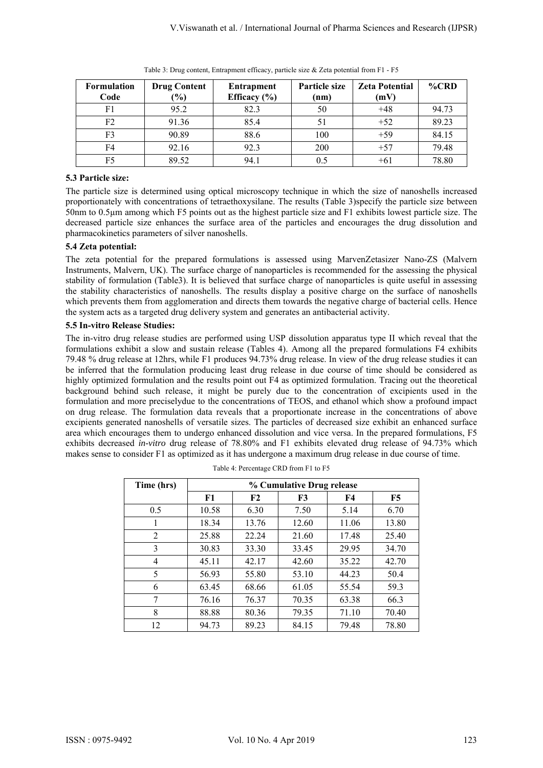| <b>Formulation</b><br>Code | <b>Drug Content</b><br>$\frac{6}{6}$ | Entrapment<br>Efficacy $(\% )$ | Particle size<br>(nm) | <b>Zeta Potential</b><br>(mV) | $\%$ CRD |
|----------------------------|--------------------------------------|--------------------------------|-----------------------|-------------------------------|----------|
| F1                         | 95.2                                 | 82.3                           | 50                    | $+48$                         | 94.73    |
| F <sub>2</sub>             | 91.36                                | 85.4                           |                       | $+52$                         | 89.23    |
| F3                         | 90.89                                | 88.6                           | 100                   | $+59$                         | 84.15    |
| F4                         | 92.16                                | 92.3                           | 200                   | $+57$                         | 79.48    |
| F5                         | 89.52                                | 94.1                           |                       | $+6.$                         | 78.80    |

Table 3: Drug content, Entrapment efficacy, particle size & Zeta potential from F1 - F5

# **5.3 Particle size:**

The particle size is determined using optical microscopy technique in which the size of nanoshells increased proportionately with concentrations of tetraethoxysilane. The results (Table 3)specify the particle size between 50nm to 0.5µm among which F5 points out as the highest particle size and F1 exhibits lowest particle size. The decreased particle size enhances the surface area of the particles and encourages the drug dissolution and pharmacokinetics parameters of silver nanoshells.

# **5.4 Zeta potential:**

The zeta potential for the prepared formulations is assessed using MarvenZetasizer Nano-ZS (Malvern Instruments, Malvern, UK). The surface charge of nanoparticles is recommended for the assessing the physical stability of formulation (Table3). It is believed that surface charge of nanoparticles is quite useful in assessing the stability characteristics of nanoshells. The results display a positive charge on the surface of nanoshells which prevents them from agglomeration and directs them towards the negative charge of bacterial cells. Hence the system acts as a targeted drug delivery system and generates an antibacterial activity.

# **5.5 In-vitro Release Studies:**

The in-vitro drug release studies are performed using USP dissolution apparatus type II which reveal that the formulations exhibit a slow and sustain release (Tables 4). Among all the prepared formulations F4 exhibits 79.48 % drug release at 12hrs, while F1 produces 94.73% drug release. In view of the drug release studies it can be inferred that the formulation producing least drug release in due course of time should be considered as highly optimized formulation and the results point out F4 as optimized formulation. Tracing out the theoretical background behind such release, it might be purely due to the concentration of excipients used in the formulation and more preciselydue to the concentrations of TEOS, and ethanol which show a profound impact on drug release. The formulation data reveals that a proportionate increase in the concentrations of above excipients generated nanoshells of versatile sizes. The particles of decreased size exhibit an enhanced surface area which encourages them to undergo enhanced dissolution and vice versa. In the prepared formulations, F5 exhibits decreased *in-vitro* drug release of 78.80% and F1 exhibits elevated drug release of 94.73% which makes sense to consider F1 as optimized as it has undergone a maximum drug release in due course of time.

| Time (hrs) | % Cumulative Drug release |       |       |           |           |  |  |
|------------|---------------------------|-------|-------|-----------|-----------|--|--|
|            | F1                        | F2    | F3    | <b>F4</b> | <b>F5</b> |  |  |
| 0.5        | 10.58                     | 6.30  | 7.50  | 5.14      | 6.70      |  |  |
| 1          | 18.34                     | 13.76 | 12.60 | 11.06     | 13.80     |  |  |
| 2          | 25.88                     | 22.24 | 21.60 | 17.48     | 25.40     |  |  |
| 3          | 30.83                     | 33.30 | 33.45 | 29.95     | 34.70     |  |  |
| 4          | 45.11                     | 42.17 | 42.60 | 35.22     | 42.70     |  |  |
| 5          | 56.93                     | 55.80 | 53.10 | 44.23     | 50.4      |  |  |
| 6          | 63.45                     | 68.66 | 61.05 | 55.54     | 59.3      |  |  |
| 7          | 76.16                     | 76.37 | 70.35 | 63.38     | 66.3      |  |  |
| 8          | 88.88                     | 80.36 | 79.35 | 71.10     | 70.40     |  |  |
| 12         | 94.73                     | 89.23 | 84.15 | 79.48     | 78.80     |  |  |

| Table 4: Percentage CRD from F1 to F5 |  |  |  |
|---------------------------------------|--|--|--|
|                                       |  |  |  |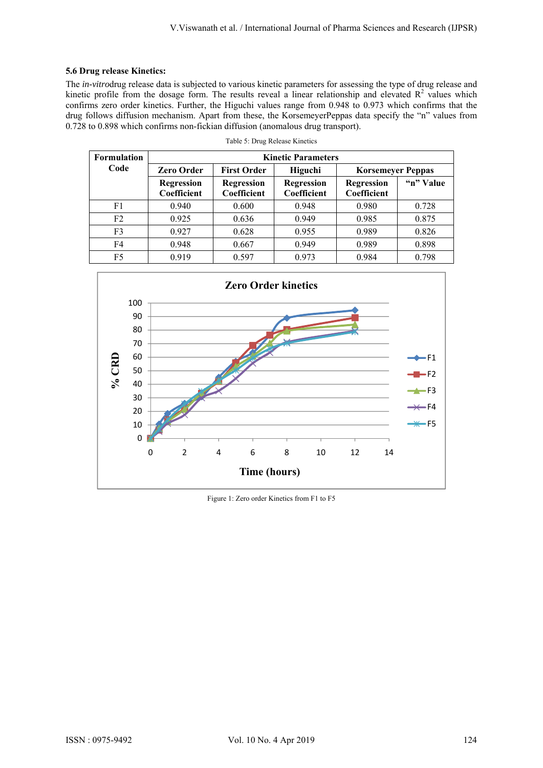# **5.6 Drug release Kinetics:**

The *in-vitro*drug release data is subjected to various kinetic parameters for assessing the type of drug release and kinetic profile from the dosage form. The results reveal a linear relationship and elevated  $R^2$  values which confirms zero order kinetics. Further, the Higuchi values range from 0.948 to 0.973 which confirms that the drug follows diffusion mechanism. Apart from these, the KorsemeyerPeppas data specify the "n" values from 0.728 to 0.898 which confirms non-fickian diffusion (anomalous drug transport).

| <b>Formulation</b> | <b>Kinetic Parameters</b>        |                                  |                                  |                                         |           |  |  |
|--------------------|----------------------------------|----------------------------------|----------------------------------|-----------------------------------------|-----------|--|--|
| Code               | <b>Zero Order</b>                | <b>First Order</b>               | Higuchi                          | <b>Korsemeyer Peppas</b>                |           |  |  |
|                    | <b>Regression</b><br>Coefficient | <b>Regression</b><br>Coefficient | <b>Regression</b><br>Coefficient | <b>Regression</b><br><b>Coefficient</b> | "n" Value |  |  |
| F1                 | 0.940                            | 0.600                            | 0.948                            | 0.980                                   | 0.728     |  |  |
| F <sub>2</sub>     | 0.925                            | 0.636                            | 0.949                            | 0.985                                   | 0.875     |  |  |
| F <sub>3</sub>     | 0.927                            | 0.628                            | 0.955                            | 0.989                                   | 0.826     |  |  |
| F4                 | 0.948                            | 0.667                            | 0.949                            | 0.989                                   | 0.898     |  |  |
| F5                 | 0.919                            | 0.597                            | 0.973                            | 0.984                                   | 0.798     |  |  |

Table 5: Drug Release Kinetics



Figure 1: Zero order Kinetics from F1 to F5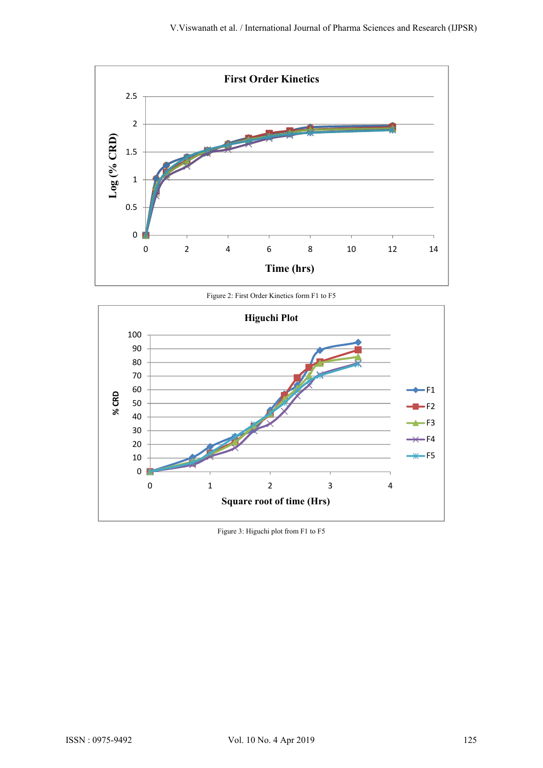

Figure 2: First Order Kinetics form F1 to F5



Figure 3: Higuchi plot from F1 to F5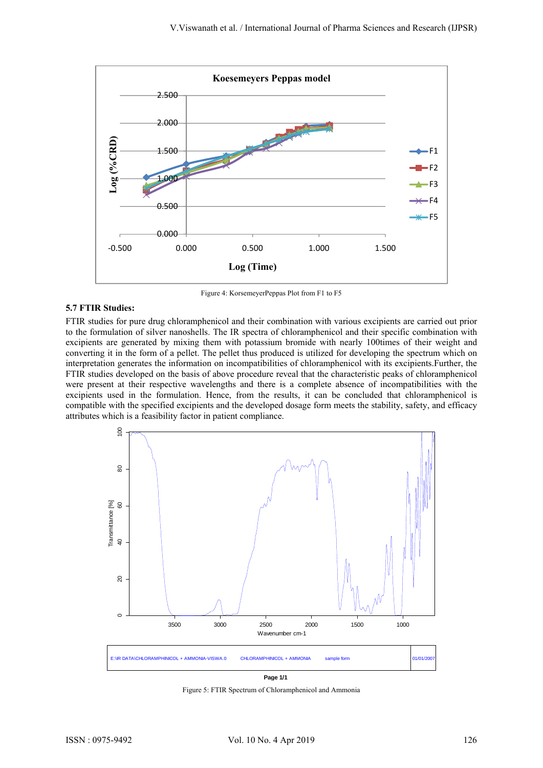

Figure 4: KorsemeyerPeppas Plot from F1 to F5

#### **5.7 FTIR Studies:**

FTIR studies for pure drug chloramphenicol and their combination with various excipients are carried out prior to the formulation of silver nanoshells. The IR spectra of chloramphenicol and their specific combination with excipients are generated by mixing them with potassium bromide with nearly 100times of their weight and converting it in the form of a pellet. The pellet thus produced is utilized for developing the spectrum which on interpretation generates the information on incompatibilities of chloramphenicol with its excipients.Further, the FTIR studies developed on the basis of above procedure reveal that the characteristic peaks of chloramphenicol were present at their respective wavelengths and there is a complete absence of incompatibilities with the excipients used in the formulation. Hence, from the results, it can be concluded that chloramphenicol is compatible with the specified excipients and the developed dosage form meets the stability, safety, and efficacy attributes which is a feasibility factor in patient compliance.



 **Page 1/1**

Figure 5: FTIR Spectrum of Chloramphenicol and Ammonia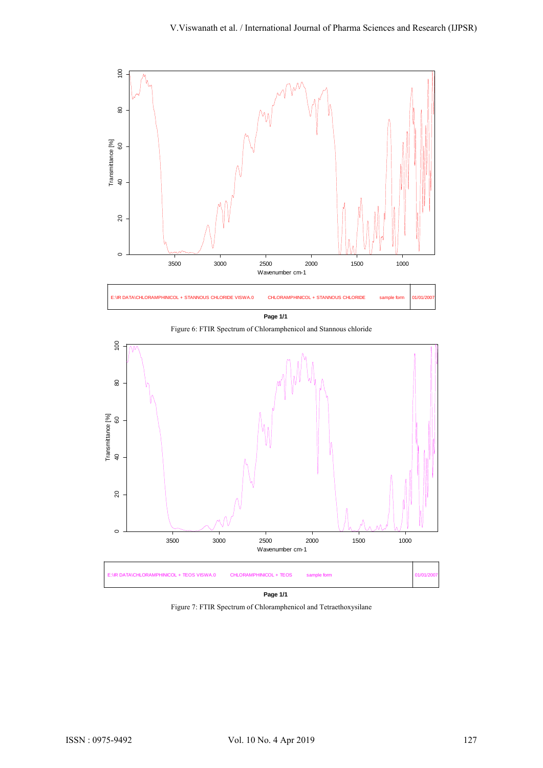

 **Page 1/1**



Figure 6: FTIR Spectrum of Chloramphenicol and Stannous chloride

 **Page 1/1**

Figure 7: FTIR Spectrum of Chloramphenicol and Tetraethoxysilane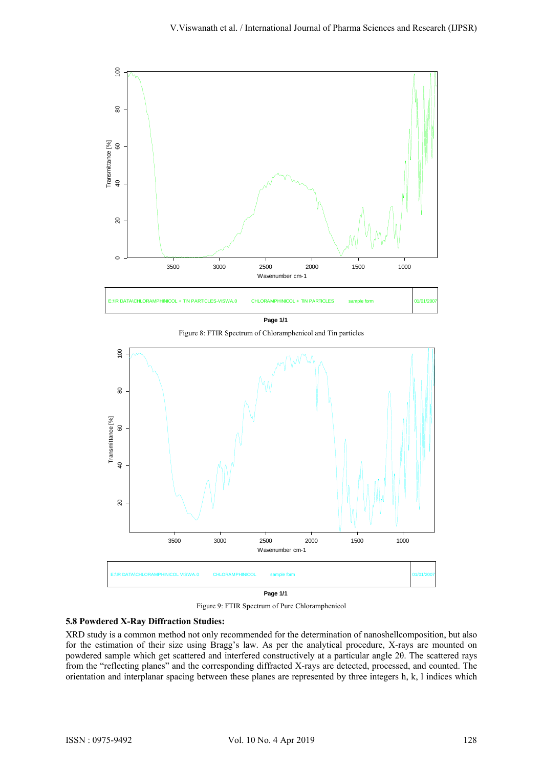

 **Page 1/1**

Figure 8: FTIR Spectrum of Chloramphenicol and Tin particles



Figure 9: FTIR Spectrum of Pure Chloramphenicol

## **5.8 Powdered X-Ray Diffraction Studies:**

XRD study is a common method not only recommended for the determination of nanoshellcomposition, but also for the estimation of their size using Bragg's law. As per the analytical procedure, X-rays are mounted on powdered sample which get scattered and interfered constructively at a particular angle 2θ. The scattered rays from the "reflecting planes" and the corresponding diffracted X-rays are detected, processed, and counted. The orientation and interplanar spacing between these planes are represented by three integers h, k, l indices which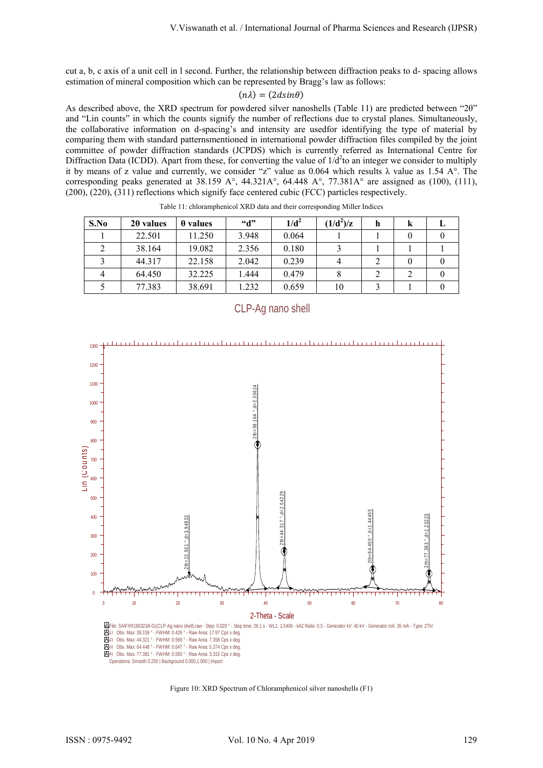cut a, b, c axis of a unit cell in l second. Further, the relationship between diffraction peaks to d- spacing allows estimation of mineral composition which can be represented by Bragg's law as follows:

$$
(n\lambda)=(2d sin\theta)
$$

As described above, the XRD spectrum for powdered silver nanoshells (Table 11) are predicted between "2θ" and "Lin counts" in which the counts signify the number of reflections due to crystal planes. Simultaneously, the collaborative information on d-spacing's and intensity are usedfor identifying the type of material by comparing them with standard patternsmentioned in international powder diffraction files compiled by the joint committee of powder diffraction standards (JCPDS) which is currently referred as International Centre for Diffraction Data (ICDD). Apart from these, for converting the value of  $1/d<sup>2</sup>$ to an integer we consider to multiply it by means of z value and currently, we consider "z" value as 0.064 which results  $\lambda$  value as 1.54 A°. The corresponding peaks generated at 38.159 A°,  $44.321A^{\circ}$ ,  $64.448$  A°,  $77.381A^{\circ}$  are assigned as (100), (111), (200), (220), (311) reflections which signify face centered cubic (FCC) particles respectively.

| S.No | $2\theta$ values | $\theta$ values | $\mathbf{G}^{\bullet}$ | $1/d^2$ | $(1/d^2)/z$ | h | k |  |
|------|------------------|-----------------|------------------------|---------|-------------|---|---|--|
|      | 22.501           | 11.250          | 3.948                  | 0.064   |             |   |   |  |
|      | 38.164           | 19.082          | 2.356                  | 0.180   |             |   |   |  |
|      | 44.317           | 22.158          | 2.042                  | 0.239   |             |   |   |  |
| 4    | 64.450           | 32.225          | 1.444                  | 0.479   |             |   |   |  |
|      | 77.383           | 38.691          | 1.232                  | 0.659   | 10          |   |   |  |

Table 11: chloramphenicol XRD data and their corresponding Miller Indices



CLP-Ag nano shell

Figure 10: XRD Spectrum of Chloramphenicol silver nanoshells (F1)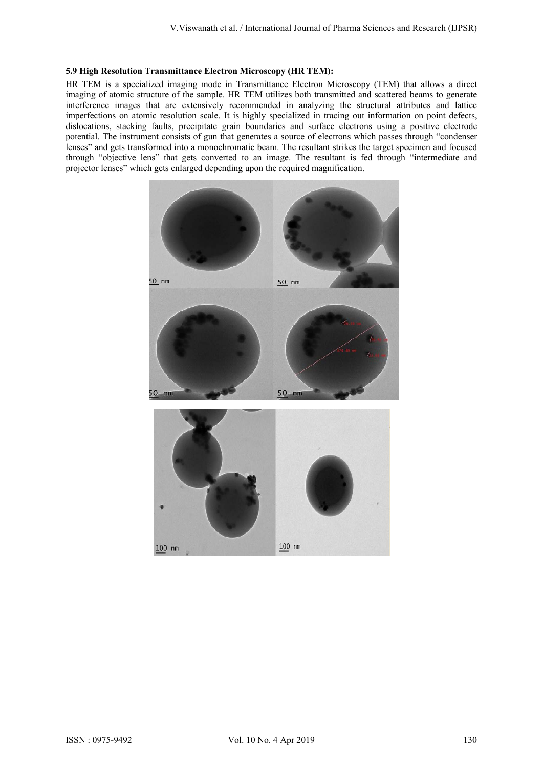#### **5.9 High Resolution Transmittance Electron Microscopy (HR TEM):**

HR TEM is a specialized imaging mode in Transmittance Electron Microscopy (TEM) that allows a direct imaging of atomic structure of the sample. HR TEM utilizes both transmitted and scattered beams to generate interference images that are extensively recommended in analyzing the structural attributes and lattice imperfections on atomic resolution scale. It is highly specialized in tracing out information on point defects, dislocations, stacking faults, precipitate grain boundaries and surface electrons using a positive electrode potential. The instrument consists of gun that generates a source of electrons which passes through "condenser lenses" and gets transformed into a monochromatic beam. The resultant strikes the target specimen and focused through "objective lens" that gets converted to an image. The resultant is fed through "intermediate and projector lenses" which gets enlarged depending upon the required magnification.

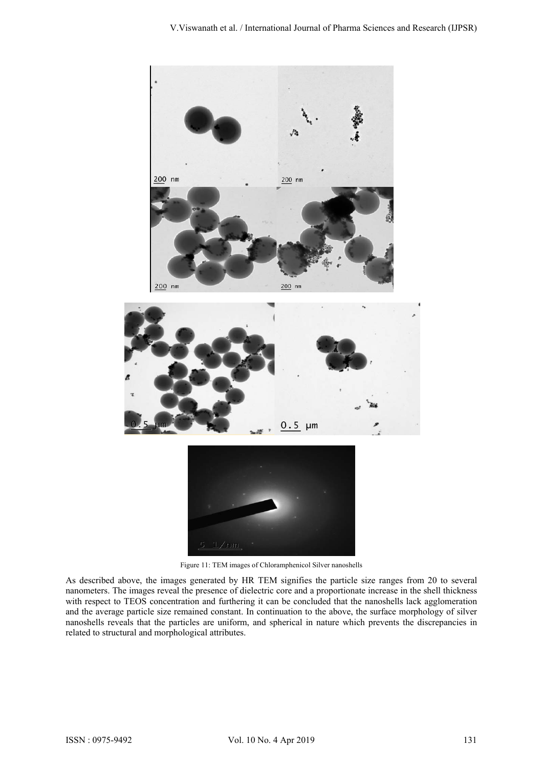

Figure 11: TEM images of Chloramphenicol Silver nanoshells

As described above, the images generated by HR TEM signifies the particle size ranges from 20 to several nanometers. The images reveal the presence of dielectric core and a proportionate increase in the shell thickness with respect to TEOS concentration and furthering it can be concluded that the nanoshells lack agglomeration and the average particle size remained constant. In continuation to the above, the surface morphology of silver nanoshells reveals that the particles are uniform, and spherical in nature which prevents the discrepancies in related to structural and morphological attributes.